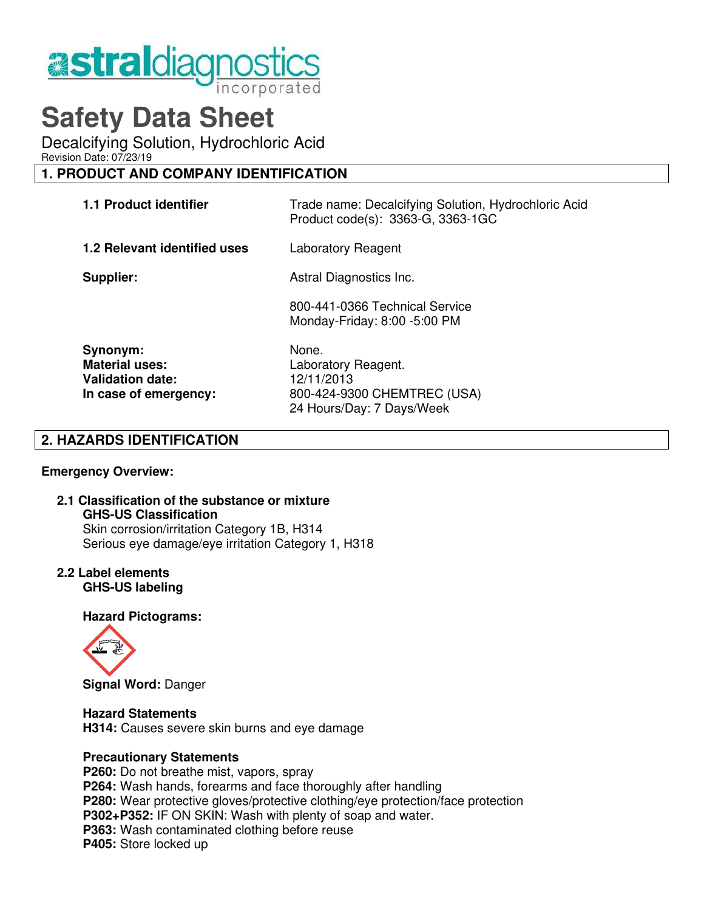

# **Safety Data Sheet**

Decalcifying Solution, Hydrochloric Acid

Revision Date: 07/23/19

# **1. PRODUCT AND COMPANY IDENTIFICATION**

| 1.1 Product identifier                                                                | Trade name: Decalcifying Solution, Hydrochloric Acid<br>Product code(s): 3363-G, 3363-1GC              |
|---------------------------------------------------------------------------------------|--------------------------------------------------------------------------------------------------------|
| 1.2 Relevant identified uses                                                          | Laboratory Reagent                                                                                     |
| Supplier:                                                                             | Astral Diagnostics Inc.                                                                                |
|                                                                                       | 800-441-0366 Technical Service<br>Monday-Friday: 8:00 -5:00 PM                                         |
| Synonym:<br><b>Material uses:</b><br><b>Validation date:</b><br>In case of emergency: | None.<br>Laboratory Reagent.<br>12/11/2013<br>800-424-9300 CHEMTREC (USA)<br>24 Hours/Day: 7 Days/Week |

# **2. HAZARDS IDENTIFICATION**

#### **Emergency Overview:**

# **2.1 Classification of the substance or mixture GHS-US Classification**

Skin corrosion/irritation Category 1B, H314 Serious eye damage/eye irritation Category 1, H318

#### **2.2 Label elements GHS-US labeling**

## **Hazard Pictograms:**



 **Signal Word:** Danger

#### **Hazard Statements**

 **H314:** Causes severe skin burns and eye damage

#### **Precautionary Statements**

**P260:** Do not breathe mist, vapors, spray  **P264:** Wash hands, forearms and face thoroughly after handling  **P280:** Wear protective gloves/protective clothing/eye protection/face protection  **P302+P352:** IF ON SKIN: Wash with plenty of soap and water. **P363:** Wash contaminated clothing before reuse  **P405:** Store locked up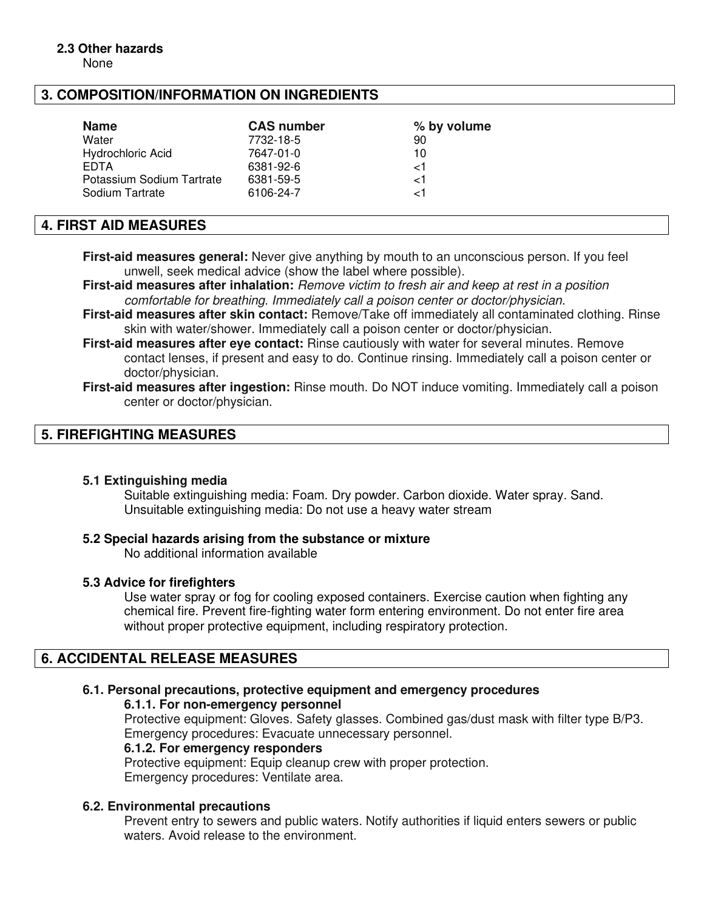# **2.3 Other hazards**

None

# **3. COMPOSITION/INFORMATION ON INGREDIENTS**

| <b>Name</b>               | <b>CAS number</b> | % by volume |
|---------------------------|-------------------|-------------|
| Water                     | 7732-18-5         | 90          |
| <b>Hydrochloric Acid</b>  | 7647-01-0         | 10          |
| <b>EDTA</b>               | 6381-92-6         | 1ج          |
| Potassium Sodium Tartrate | 6381-59-5         | ا>          |
| Sodium Tartrate           | 6106-24-7         | ا -         |

## **4. FIRST AID MEASURES**

**First-aid measures general:** Never give anything by mouth to an unconscious person. If you feel unwell, seek medical advice (show the label where possible).

**First-aid measures after inhalation:** Remove victim to fresh air and keep at rest in a position comfortable for breathing. Immediately call a poison center or doctor/physician.

**First-aid measures after skin contact:** Remove/Take off immediately all contaminated clothing. Rinse skin with water/shower. Immediately call a poison center or doctor/physician.

**First-aid measures after eye contact:** Rinse cautiously with water for several minutes. Remove contact lenses, if present and easy to do. Continue rinsing. Immediately call a poison center or doctor/physician.

# **5. FIREFIGHTING MEASURES**

#### **5.1 Extinguishing media**

 Suitable extinguishing media: Foam. Dry powder. Carbon dioxide. Water spray. Sand. Unsuitable extinguishing media: Do not use a heavy water stream

#### **5.2 Special hazards arising from the substance or mixture**

No additional information available

#### **5.3 Advice for firefighters**

Use water spray or fog for cooling exposed containers. Exercise caution when fighting any chemical fire. Prevent fire-fighting water form entering environment. Do not enter fire area without proper protective equipment, including respiratory protection.

# **6. ACCIDENTAL RELEASE MEASURES**

#### **6.1. Personal precautions, protective equipment and emergency procedures**

#### **6.1.1. For non-emergency personnel**

 Protective equipment: Gloves. Safety glasses. Combined gas/dust mask with filter type B/P3. Emergency procedures: Evacuate unnecessary personnel.

#### **6.1.2. For emergency responders**

Protective equipment: Equip cleanup crew with proper protection. Emergency procedures: Ventilate area.

#### **6.2. Environmental precautions**

Prevent entry to sewers and public waters. Notify authorities if liquid enters sewers or public waters. Avoid release to the environment.

**First-aid measures after ingestion:** Rinse mouth. Do NOT induce vomiting. Immediately call a poison center or doctor/physician.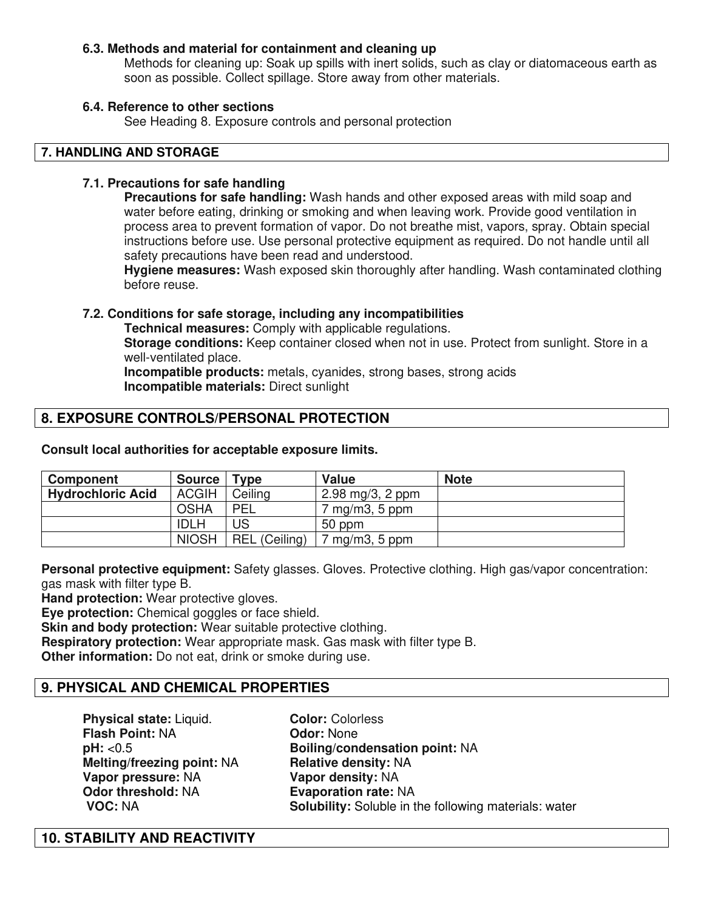#### **6.3. Methods and material for containment and cleaning up**

Methods for cleaning up: Soak up spills with inert solids, such as clay or diatomaceous earth as soon as possible. Collect spillage. Store away from other materials.

#### **6.4. Reference to other sections**

See Heading 8. Exposure controls and personal protection

#### **7. HANDLING AND STORAGE**

#### **7.1. Precautions for safe handling**

**Precautions for safe handling:** Wash hands and other exposed areas with mild soap and water before eating, drinking or smoking and when leaving work. Provide good ventilation in process area to prevent formation of vapor. Do not breathe mist, vapors, spray. Obtain special instructions before use. Use personal protective equipment as required. Do not handle until all safety precautions have been read and understood.

**Hygiene measures:** Wash exposed skin thoroughly after handling. Wash contaminated clothing before reuse.

#### **7.2. Conditions for safe storage, including any incompatibilities**

 **Technical measures:** Comply with applicable regulations.

**Storage conditions:** Keep container closed when not in use. Protect from sunlight. Store in a well-ventilated place.

 **Incompatible products:** metals, cyanides, strong bases, strong acids  **Incompatible materials:** Direct sunlight

# **8. EXPOSURE CONTROLS/PERSONAL PROTECTION**

**Consult local authorities for acceptable exposure limits.**

| <b>Component</b>         | <b>Source</b> | $T$ vpe       | <b>Value</b>                             | <b>Note</b> |
|--------------------------|---------------|---------------|------------------------------------------|-------------|
| <b>Hydrochloric Acid</b> | <b>ACGIH</b>  | Ceiling       | $2.98 \,\mathrm{mg}/3, 2 \,\mathrm{ppm}$ |             |
|                          | <b>OSHA</b>   | <b>PEL</b>    | $7 \text{ mg/m3}$ , 5 ppm                |             |
|                          | <b>IDLH</b>   | JS            | 50 ppm                                   |             |
|                          | <b>NIOSH</b>  | REL (Ceiling) | $\gamma$ mg/m3, 5 ppm                    |             |

**Personal protective equipment:** Safety glasses. Gloves. Protective clothing. High gas/vapor concentration: gas mask with filter type B.

**Hand protection:** Wear protective gloves.

**Eye protection:** Chemical goggles or face shield.

**Skin and body protection:** Wear suitable protective clothing.

**Respiratory protection:** Wear appropriate mask. Gas mask with filter type B.

**Other information:** Do not eat, drink or smoke during use.

## **9. PHYSICAL AND CHEMICAL PROPERTIES**

**Physical state:** Liquid. **Color:** Colorless **Flash Point:** NA **Flash Point: NA Melting/freezing point: NA Relative density: NA Vapor pressure: NA <b>Vapor density: NA**<br> **Odor threshold: NA <b>Evaporation rate:** N **Odor threshold: NA <b>Evaporation rate: NA Proporation Fate: NA Proporation rate: NA Proporation Fate: NA Solubility: Soluble in t** 

**pH:** <0.5 **Boiling/condensation point:** NA **Solubility:** Soluble in the following materials: water

## **10. STABILITY AND REACTIVITY**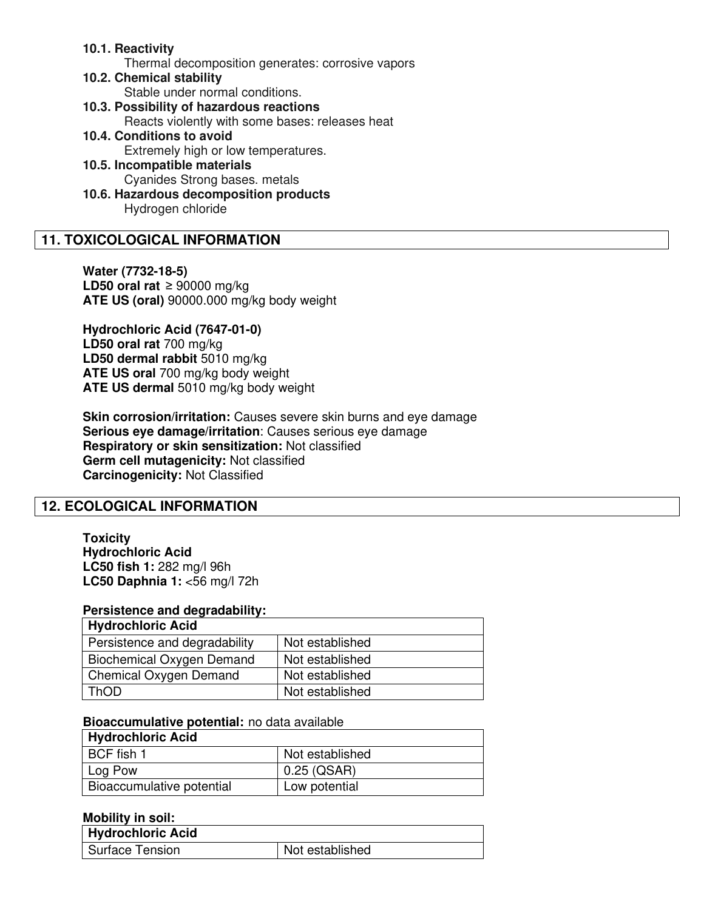#### **10.1. Reactivity**

Thermal decomposition generates: corrosive vapors

- **10.2. Chemical stability** Stable under normal conditions.
- **10.3. Possibility of hazardous reactions**
	- Reacts violently with some bases: releases heat
- **10.4. Conditions to avoid Extremely high or low temperatures.**
- **10.5. Incompatible materials** Cyanides Strong bases. metals
- **10.6. Hazardous decomposition products** Hydrogen chloride

# **11. TOXICOLOGICAL INFORMATION**

**Water (7732-18-5) LD50 oral rat** ≥ 90000 mg/kg **ATE US (oral)** 90000.000 mg/kg body weight

**Hydrochloric Acid (7647-01-0) LD50 oral rat** 700 mg/kg **LD50 dermal rabbit** 5010 mg/kg **ATE US oral** 700 mg/kg body weight **ATE US dermal** 5010 mg/kg body weight

**Skin corrosion/irritation:** Causes severe skin burns and eye damage **Serious eye damage/irritation**: Causes serious eye damage **Respiratory or skin sensitization:** Not classified **Germ cell mutagenicity:** Not classified **Carcinogenicity:** Not Classified

## **12. ECOLOGICAL INFORMATION**

**Toxicity Hydrochloric Acid LC50 fish 1:** 282 mg/l 96h **LC50 Daphnia 1:** <56 mg/l 72h

#### **Persistence and degradability:**

| <b>Hydrochloric Acid</b>      |                 |
|-------------------------------|-----------------|
| Persistence and degradability | Not established |
| Biochemical Oxygen Demand     | Not established |
| Chemical Oxygen Demand        | Not established |
| ThOD                          | Not established |

#### **Bioaccumulative potential:** no data available

| <b>Hydrochloric Acid</b>  |                 |
|---------------------------|-----------------|
| BCF fish 1                | Not established |
| Log Pow                   | 0.25 (QSAR)     |
| Bioaccumulative potential | Low potential   |

#### **Mobility in soil:**

| Hydrochloric Acid |                 |
|-------------------|-----------------|
| Surface Tension   | Not established |